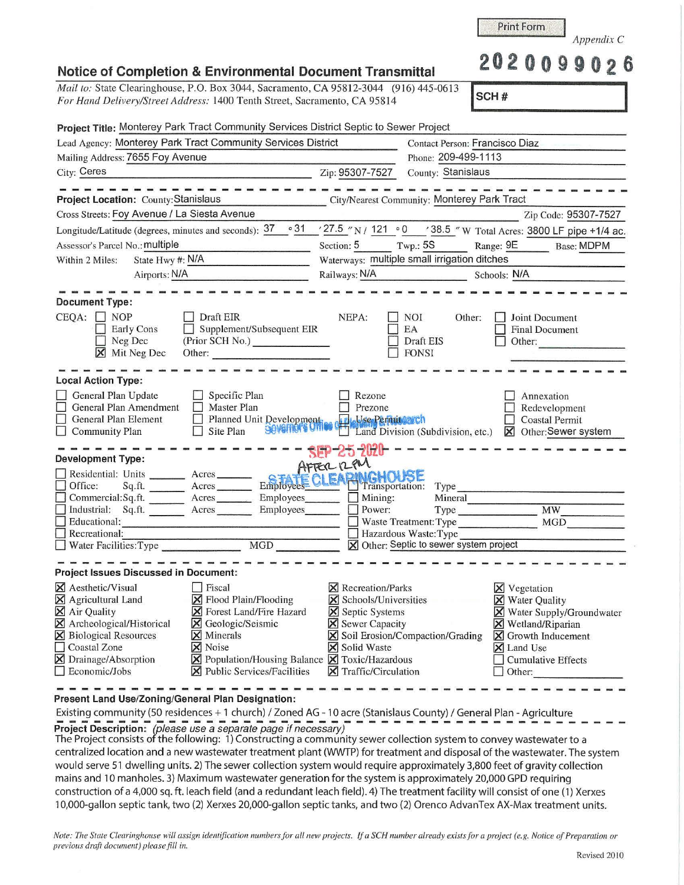| Mail to: State Clearinghouse, P.O. Box 3044, Sacramento, CA 95812-3044 (916) 445-0613                                                                               |                                                                                                     |                                              |                                                                |  |
|---------------------------------------------------------------------------------------------------------------------------------------------------------------------|-----------------------------------------------------------------------------------------------------|----------------------------------------------|----------------------------------------------------------------|--|
| For Hand Delivery/Street Address: 1400 Tenth Street, Sacramento, CA 95814                                                                                           |                                                                                                     |                                              | SCH#                                                           |  |
| Project Title: Monterey Park Tract Community Services District Septic to Sewer Project                                                                              |                                                                                                     |                                              |                                                                |  |
| Lead Agency: Monterey Park Tract Community Services District                                                                                                        |                                                                                                     |                                              | Contact Person: Francisco Diaz                                 |  |
| Mailing Address: 7655 Foy Avenue                                                                                                                                    |                                                                                                     |                                              | Phone: 209-499-1113                                            |  |
| City: Ceres                                                                                                                                                         |                                                                                                     | Zip: 95307-7527                              | County: Stanislaus                                             |  |
| Project Location: County: Stanislaus                                                                                                                                |                                                                                                     | City/Nearest Community: Monterey Park Tract  |                                                                |  |
| Cross Streets: Foy Avenue / La Siesta Avenue                                                                                                                        |                                                                                                     |                                              | Zip Code: 95307-7527                                           |  |
|                                                                                                                                                                     |                                                                                                     |                                              | '27.5 "N / 121 ° 0 '38.5 "W Total Acres: 3800 LF pipe +1/4 ac. |  |
| Longitude/Latitude (degrees, minutes and seconds): 37 ° 31<br>Assessor's Parcel No.: multiple                                                                       |                                                                                                     | Section: 5 Twp.: 5S                          | Range: 9E Base: MDPM                                           |  |
| State Hwy #: N/A<br>Within 2 Miles:                                                                                                                                 |                                                                                                     | Waterways: multiple small irrigation ditches |                                                                |  |
| Airports: N/A                                                                                                                                                       |                                                                                                     | Railways: N/A<br>Schools: N/A                |                                                                |  |
|                                                                                                                                                                     |                                                                                                     |                                              |                                                                |  |
| <b>Document Type:</b>                                                                                                                                               |                                                                                                     |                                              |                                                                |  |
| $CEQA:$ NOP                                                                                                                                                         | Draft EIR                                                                                           | NEPA:<br>NOI                                 | Other:<br>Joint Document                                       |  |
| Early Cons                                                                                                                                                          | $\Box$ Supplement/Subsequent EIR                                                                    | EA                                           | Final Document                                                 |  |
| Neg Dec                                                                                                                                                             | (Prior SCH No.)                                                                                     | Draft EIS                                    | Other:                                                         |  |
| <b>X</b> Mit Neg Dec                                                                                                                                                | Other:                                                                                              | <b>FONSI</b>                                 |                                                                |  |
|                                                                                                                                                                     |                                                                                                     |                                              |                                                                |  |
| <b>Local Action Type:</b>                                                                                                                                           |                                                                                                     |                                              |                                                                |  |
| General Plan Update                                                                                                                                                 | $\Box$ Specific Plan                                                                                | Rezone                                       | Annexation                                                     |  |
| General Plan Amendment                                                                                                                                              | $\Box$ Master Plan                                                                                  | Prezone                                      | Redevelopment                                                  |  |
| General Plan Element                                                                                                                                                | □ Planned Unit Development.<br>□ Site Plan   30Verner's United Thand Division (Su                   |                                              | <b>Coastal Permit</b>                                          |  |
| <b>Community Plan</b>                                                                                                                                               |                                                                                                     |                                              | Land Division (Subdivision, etc.) <b>X</b> Other: Sewer system |  |
|                                                                                                                                                                     |                                                                                                     | SEP-25 2020-                                 |                                                                |  |
| <b>Development Type:</b>                                                                                                                                            | Units ______ Acres _____ Arrec 12 PMGHOUSE                                                          |                                              |                                                                |  |
| Residential: Units ________ Acres _______                                                                                                                           |                                                                                                     |                                              |                                                                |  |
| Office:                                                                                                                                                             |                                                                                                     |                                              | Type                                                           |  |
| Commercial:Sq.ft.                                                                                                                                                   | Acres Employees                                                                                     | $\Box$ Mining:                               | Mineral                                                        |  |
| Industrial: Sq.ft. Acres<br>Educational:                                                                                                                            | Employees_______                                                                                    | Power:                                       | <b>MW</b><br>Type<br><b>MGD</b><br>Waste Treatment: Type       |  |
| Recreational:                                                                                                                                                       |                                                                                                     | Hazardous Waste: Type                        |                                                                |  |
| Water Facilities: Type                                                                                                                                              | <b>MGD</b>                                                                                          | X Other: Septic to sewer system project      |                                                                |  |
|                                                                                                                                                                     |                                                                                                     |                                              |                                                                |  |
| <b>Project Issues Discussed in Document:</b>                                                                                                                        |                                                                                                     |                                              |                                                                |  |
|                                                                                                                                                                     | Fiscal                                                                                              | $\times$ Recreation/Parks                    | <b>X</b> Vegetation                                            |  |
|                                                                                                                                                                     | <b>⊠</b> Flood Plain/Flooding                                                                       | <b>X</b> Schools/Universities                | <b>X</b> Water Quality                                         |  |
|                                                                                                                                                                     |                                                                                                     | <b>X</b> Septic Systems                      | Water Supply/Groundwater<br>×                                  |  |
|                                                                                                                                                                     | <b>X</b> Forest Land/Fire Hazard                                                                    |                                              |                                                                |  |
|                                                                                                                                                                     | $\times$<br>Geologic/Seismic                                                                        | <b>X</b> Sewer Capacity                      | <b>X</b> Wetland/Riparian                                      |  |
|                                                                                                                                                                     | Minerals<br>×                                                                                       | Soil Erosion/Compaction/Grading<br>X         | <b>X</b> Growth Inducement                                     |  |
| <b>Coastal Zone</b>                                                                                                                                                 | X Noise                                                                                             | X Solid Waste                                | X Land Use                                                     |  |
| X Aesthetic/Visual<br>X Agricultural Land<br>X Air Quality<br>X Archeological/Historical<br><b>X</b> Biological Resources<br>X Drainage/Absorption<br>Economic/Jobs | <b>X</b> Population/Housing Balance <b>X</b> Toxic/Hazardous<br><b>X</b> Public Services/Facilities | Traffic/Circulation                          | <b>Cumulative Effects</b><br>Other:                            |  |

**Present Land Use/Zoning/General Plan Designation:** 

Existing community (50 residences + 1 church) / Zoned AG - 10 acre (Stanislaus County) / General Plan - Agriculture Project Description: (please use a separate page if necessary)<br>The Project consists of the following: 1) Constructing a community sewer collection system to convey wastewater to a

centralized location and a new wastewater treatment plant (WWTP) for treatment and disposal of the wastewater. The system would serve 51 dwelling units. 2) The sewer collection system would require approximately 3,800 feet of gravity collection mains and 10 manholes. 3) Maximum wastewater generation for the system is approximately 20,000 GPD requiring construction of a 4,000 sq. ft. leach field (and a redundant leach field). 4) The treatment facility will consist of one (1) Xerxes 10,000-gallon septic ta nk, two (2) Xerxes 20,000-gallon septic tanks, and two (2) Orenco AdvanTex AX-Max treatment units.

*Note: The State Clearinghouse will assign identification numbers for all new projects.* If a SCH number already exists for a project (e.g. Notice of Preparation or *previous draft document) please fill in.* 

Print Form *Appendix C*